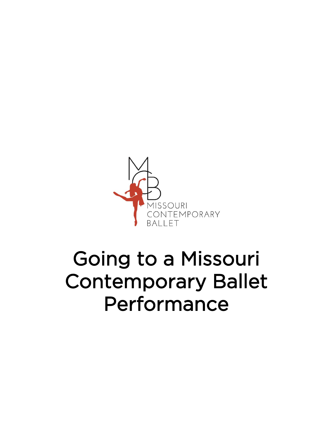

## Going to a Missouri Contemporary Ballet Performance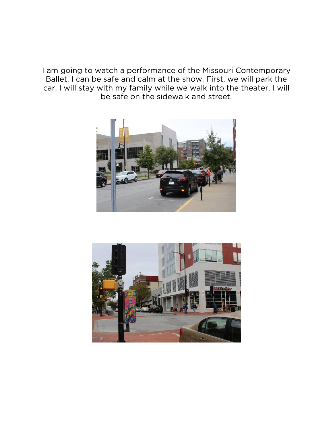I am going to watch a performance of the Missouri Contemporary Ballet. I can be safe and calm at the show. First, we will park the car. I will stay with my family while we walk into the theater. I will be safe on the sidewalk and street.



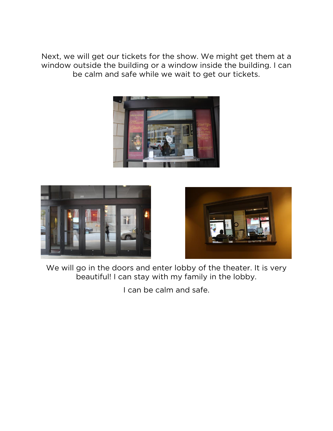Next, we will get our tickets for the show. We might get them at a window outside the building or a window inside the building. I can be calm and safe while we wait to get our tickets.







We will go in the doors and enter lobby of the theater. It is very beautiful! I can stay with my family in the lobby.

I can be calm and safe.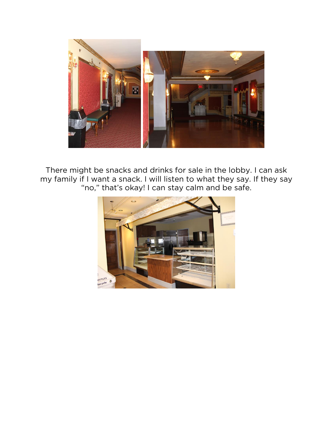

There might be snacks and drinks for sale in the lobby. I can ask my family if I want a snack. I will listen to what they say. If they say "no," that's okay! I can stay calm and be safe.

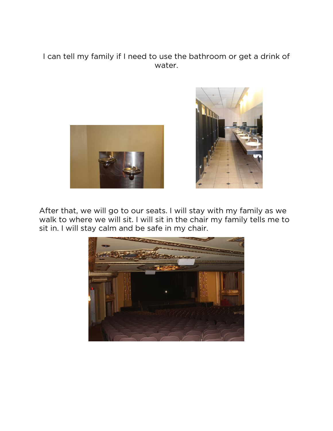I can tell my family if I need to use the bathroom or get a drink of water.





After that, we will go to our seats. I will stay with my family as we walk to where we will sit. I will sit in the chair my family tells me to sit in. I will stay calm and be safe in my chair.

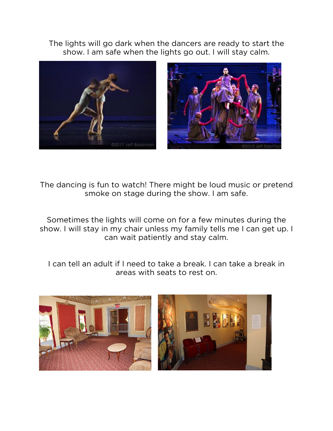The lights will go dark when the dancers are ready to start the show. I am safe when the lights go out. I will stay calm.



The dancing is fun to watch! There might be loud music or pretend smoke on stage during the show. I am safe.

Sometimes the lights will come on for a few minutes during the show. I will stay in my chair unless my family tells me I can get up. I can wait patiently and stay calm.

I can tell an adult if I need to take a break. I can take a break in areas with seats to rest on.

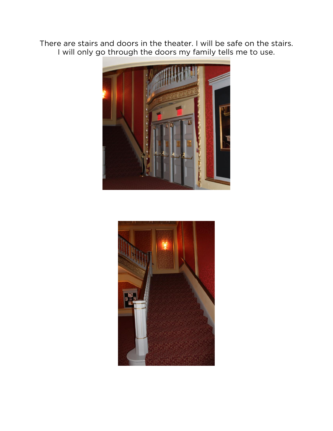There are stairs and doors in the theater. I will be safe on the stairs. I will only go through the doors my family tells me to use.